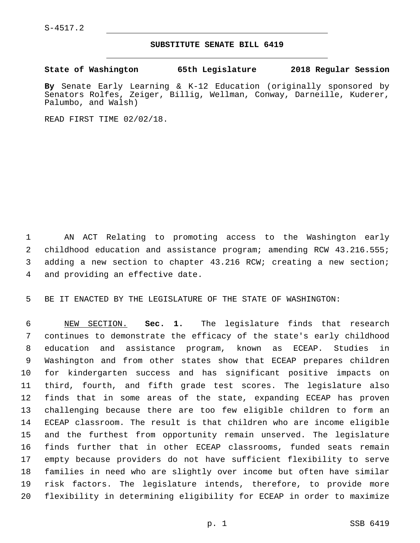S-4517.2

## **SUBSTITUTE SENATE BILL 6419**

**State of Washington 65th Legislature 2018 Regular Session**

**By** Senate Early Learning & K-12 Education (originally sponsored by Senators Rolfes, Zeiger, Billig, Wellman, Conway, Darneille, Kuderer, Palumbo, and Walsh)

READ FIRST TIME 02/02/18.

 AN ACT Relating to promoting access to the Washington early childhood education and assistance program; amending RCW 43.216.555; adding a new section to chapter 43.216 RCW; creating a new section; 4 and providing an effective date.

BE IT ENACTED BY THE LEGISLATURE OF THE STATE OF WASHINGTON:

 NEW SECTION. **Sec. 1.** The legislature finds that research continues to demonstrate the efficacy of the state's early childhood education and assistance program, known as ECEAP. Studies in Washington and from other states show that ECEAP prepares children for kindergarten success and has significant positive impacts on third, fourth, and fifth grade test scores. The legislature also finds that in some areas of the state, expanding ECEAP has proven challenging because there are too few eligible children to form an ECEAP classroom. The result is that children who are income eligible and the furthest from opportunity remain unserved. The legislature finds further that in other ECEAP classrooms, funded seats remain empty because providers do not have sufficient flexibility to serve families in need who are slightly over income but often have similar risk factors. The legislature intends, therefore, to provide more flexibility in determining eligibility for ECEAP in order to maximize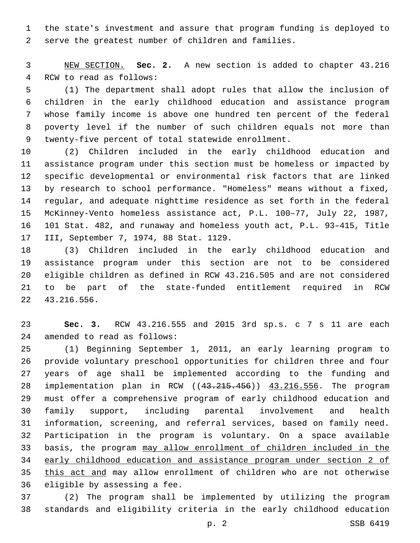the state's investment and assure that program funding is deployed to serve the greatest number of children and families.

 NEW SECTION. **Sec. 2.** A new section is added to chapter 43.216 4 RCW to read as follows:

 (1) The department shall adopt rules that allow the inclusion of children in the early childhood education and assistance program whose family income is above one hundred ten percent of the federal poverty level if the number of such children equals not more than 9 twenty-five percent of total statewide enrollment.

 (2) Children included in the early childhood education and assistance program under this section must be homeless or impacted by specific developmental or environmental risk factors that are linked by research to school performance. "Homeless" means without a fixed, regular, and adequate nighttime residence as set forth in the federal McKinney-Vento homeless assistance act, P.L. 100–77, July 22, 1987, 101 Stat. 482, and runaway and homeless youth act, P.L. 93–415, Title 17 III, September 7, 1974, 88 Stat. 1129.

 (3) Children included in the early childhood education and assistance program under this section are not to be considered eligible children as defined in RCW 43.216.505 and are not considered to be part of the state-funded entitlement required in RCW 43.216.556.22

 **Sec. 3.** RCW 43.216.555 and 2015 3rd sp.s. c 7 s 11 are each 24 amended to read as follows:

 (1) Beginning September 1, 2011, an early learning program to provide voluntary preschool opportunities for children three and four years of age shall be implemented according to the funding and implementation plan in RCW ((43.215.456)) 43.216.556. The program must offer a comprehensive program of early childhood education and family support, including parental involvement and health information, screening, and referral services, based on family need. Participation in the program is voluntary. On a space available basis, the program may allow enrollment of children included in the early childhood education and assistance program under section 2 of this act and may allow enrollment of children who are not otherwise 36 eligible by assessing a fee.

 (2) The program shall be implemented by utilizing the program standards and eligibility criteria in the early childhood education